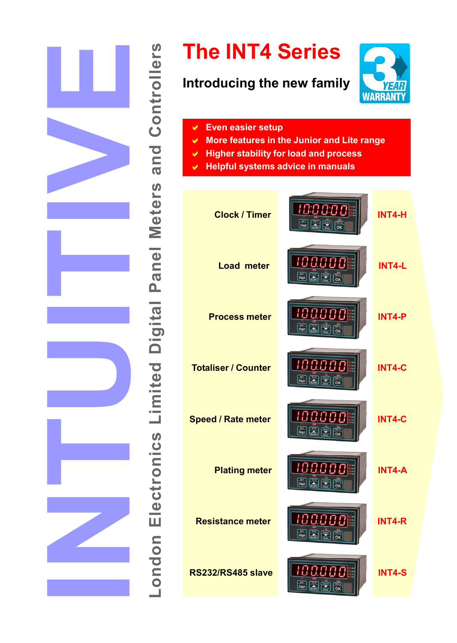

**London Electronics Limited Digital Panel Meters and Controllers**

# **The INT4 Series**

# **Introducing the new family**



- **Even easier setup**  $\checkmark$
- **More features in the Junior and Lite range**  $\blacktriangledown$
- **Higher stability for load and process**  $\checkmark$
- **Helpful systems advice in manuals**  $\blacktriangleright$